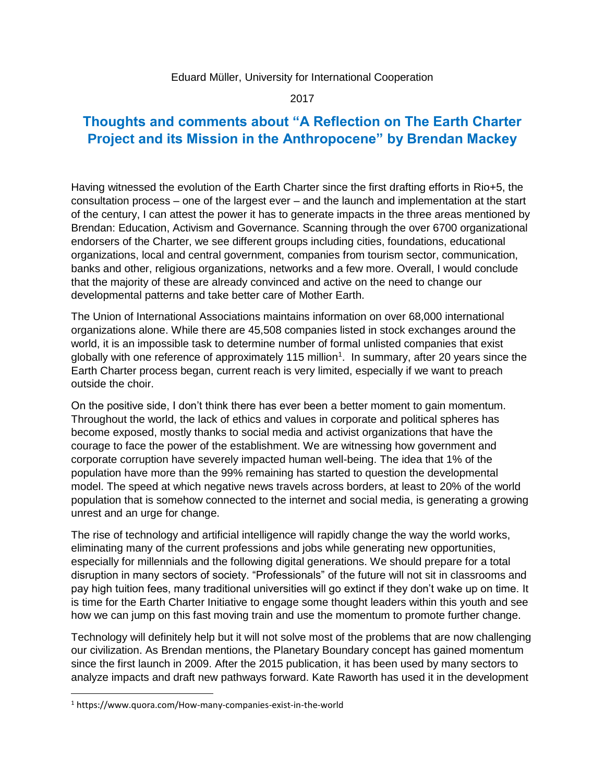## Eduard Müller, University for International Cooperation

2017

## **Thoughts and comments about "A Reflection on The Earth Charter Project and its Mission in the Anthropocene" by Brendan Mackey**

Having witnessed the evolution of the Earth Charter since the first drafting efforts in Rio+5, the consultation process – one of the largest ever – and the launch and implementation at the start of the century, I can attest the power it has to generate impacts in the three areas mentioned by Brendan: Education, Activism and Governance. Scanning through the over 6700 organizational endorsers of the Charter, we see different groups including cities, foundations, educational organizations, local and central government, companies from tourism sector, communication, banks and other, religious organizations, networks and a few more. Overall, I would conclude that the majority of these are already convinced and active on the need to change our developmental patterns and take better care of Mother Earth.

The Union of International Associations maintains information on over 68,000 international organizations alone. While there are 45,508 companies listed in stock exchanges around the world, it is an impossible task to determine number of formal unlisted companies that exist globally with one reference of approximately 115 million<sup>1</sup>. In summary, after 20 years since the Earth Charter process began, current reach is very limited, especially if we want to preach outside the choir.

On the positive side, I don't think there has ever been a better moment to gain momentum. Throughout the world, the lack of ethics and values in corporate and political spheres has become exposed, mostly thanks to social media and activist organizations that have the courage to face the power of the establishment. We are witnessing how government and corporate corruption have severely impacted human well-being. The idea that 1% of the population have more than the 99% remaining has started to question the developmental model. The speed at which negative news travels across borders, at least to 20% of the world population that is somehow connected to the internet and social media, is generating a growing unrest and an urge for change.

The rise of technology and artificial intelligence will rapidly change the way the world works, eliminating many of the current professions and jobs while generating new opportunities, especially for millennials and the following digital generations. We should prepare for a total disruption in many sectors of society. "Professionals" of the future will not sit in classrooms and pay high tuition fees, many traditional universities will go extinct if they don't wake up on time. It is time for the Earth Charter Initiative to engage some thought leaders within this youth and see how we can jump on this fast moving train and use the momentum to promote further change.

Technology will definitely help but it will not solve most of the problems that are now challenging our civilization. As Brendan mentions, the Planetary Boundary concept has gained momentum since the first launch in 2009. After the 2015 publication, it has been used by many sectors to analyze impacts and draft new pathways forward. Kate Raworth has used it in the development

 $\overline{\phantom{a}}$ 

<sup>1</sup> https://www.quora.com/How-many-companies-exist-in-the-world